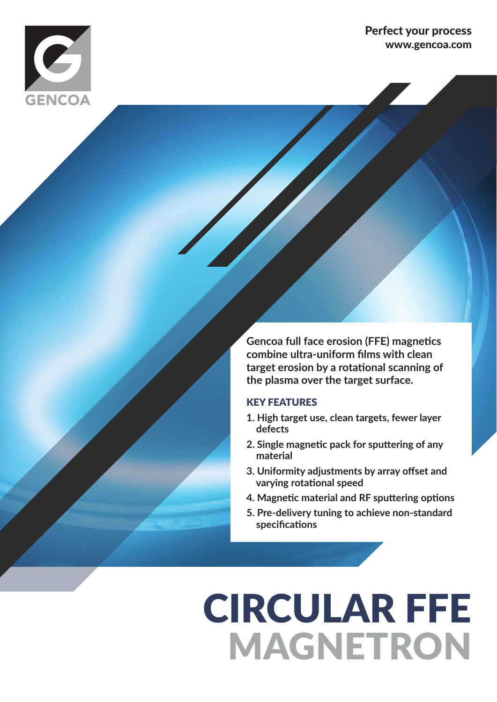

#### Perfect your process www.gencoa.com

**Gencoa full face erosion (FFE) magnetics combine ultra-uniform films with clean target erosion by a rotational scanning of the plasma over the target surface.**

#### KEY FEATURES

- **1. High target use, clean targets, fewer layer defects**
- **2. Single magnetic pack for sputtering of any material**
- **3. Uniformity adjustments by array offset and varying rotational speed**
- **4. Magnetic material and RF sputtering options**
- **5. Pre-delivery tuning to achieve non-standard specifications**

# CIRCULAR FFE MAGNETRON